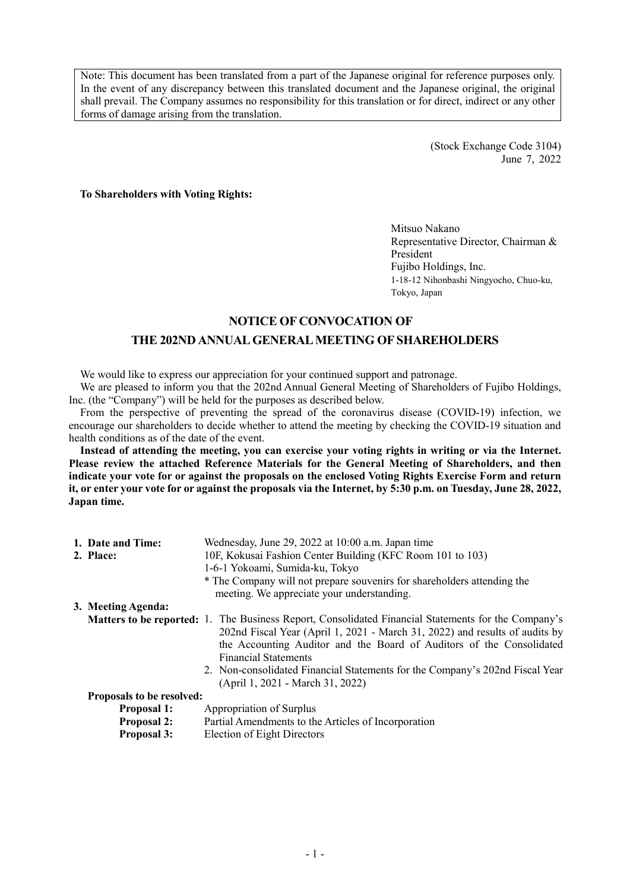Note: This document has been translated from a part of the Japanese original for reference purposes only. In the event of any discrepancy between this translated document and the Japanese original, the original shall prevail. The Company assumes no responsibility for this translation or for direct, indirect or any other forms of damage arising from the translation.

> (Stock Exchange Code 3104) June 7, 2022

**To Shareholders with Voting Rights:**

Mitsuo Nakano Representative Director, Chairman & President Fujibo Holdings, Inc. 1-18-12 Nihonbashi Ningyocho, Chuo-ku, Tokyo, Japan

#### **NOTICE OF CONVOCATION OF**

## **THE 202ND ANNUAL GENERAL MEETING OF SHAREHOLDERS**

We would like to express our appreciation for your continued support and patronage.

We are pleased to inform you that the 202nd Annual General Meeting of Shareholders of Fujibo Holdings, Inc. (the "Company") will be held for the purposes as described below.

From the perspective of preventing the spread of the coronavirus disease (COVID-19) infection, we encourage our shareholders to decide whether to attend the meeting by checking the COVID-19 situation and health conditions as of the date of the event.

**Instead of attending the meeting, you can exercise your voting rights in writing or via the Internet. Please review the attached Reference Materials for the General Meeting of Shareholders, and then indicate your vote for or against the proposals on the enclosed Voting Rights Exercise Form and return it, or enter your vote for or against the proposals via the Internet, by 5:30 p.m. on Tuesday, June 28, 2022, Japan time.**

| 1. Date and Time:                | Wednesday, June 29, 2022 at 10:00 a.m. Japan time                                                   |  |  |  |
|----------------------------------|-----------------------------------------------------------------------------------------------------|--|--|--|
| 2. Place:                        | 10F, Kokusai Fashion Center Building (KFC Room 101 to 103)                                          |  |  |  |
|                                  | 1-6-1 Yokoami, Sumida-ku, Tokyo                                                                     |  |  |  |
|                                  | * The Company will not prepare souvenirs for shareholders attending the                             |  |  |  |
|                                  | meeting. We appreciate your understanding.                                                          |  |  |  |
| 3. Meeting Agenda:               |                                                                                                     |  |  |  |
|                                  | Matters to be reported: 1. The Business Report, Consolidated Financial Statements for the Company's |  |  |  |
|                                  | 202nd Fiscal Year (April 1, 2021 - March 31, 2022) and results of audits by                         |  |  |  |
|                                  | the Accounting Auditor and the Board of Auditors of the Consolidated                                |  |  |  |
|                                  | <b>Financial Statements</b>                                                                         |  |  |  |
|                                  | 2. Non-consolidated Financial Statements for the Company's 202nd Fiscal Year                        |  |  |  |
|                                  | (April 1, 2021 - March 31, 2022)                                                                    |  |  |  |
| <b>Proposals to be resolved:</b> |                                                                                                     |  |  |  |
| <b>Proposal 1:</b>               | Appropriation of Surplus                                                                            |  |  |  |
| <b>Proposal 2:</b>               | Partial Amendments to the Articles of Incorporation                                                 |  |  |  |
|                                  |                                                                                                     |  |  |  |

**Proposal 3:** Election of Eight Directors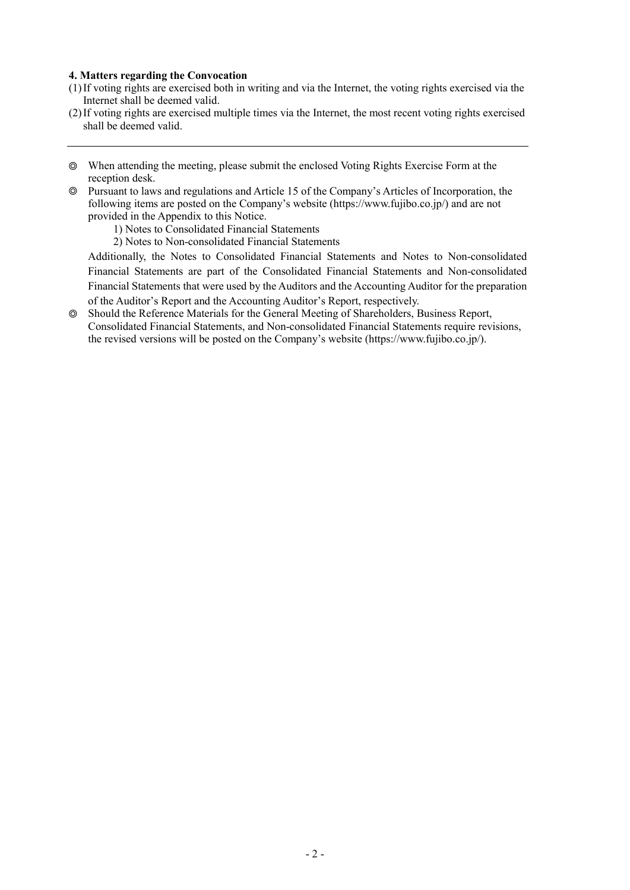#### **4. Matters regarding the Convocation**

- (1) If voting rights are exercised both in writing and via the Internet, the voting rights exercised via the Internet shall be deemed valid.
- (2) If voting rights are exercised multiple times via the Internet, the most recent voting rights exercised shall be deemed valid.
- ◎ When attending the meeting, please submit the enclosed Voting Rights Exercise Form at the reception desk.
- ◎ Pursuant to laws and regulations and Article 15 of the Company's Articles of Incorporation, the following items are posted on the Company's website (https://www.fujibo.co.jp/) and are not provided in the Appendix to this Notice.
	- 1) Notes to Consolidated Financial Statements
	- 2) Notes to Non-consolidated Financial Statements

Additionally, the Notes to Consolidated Financial Statements and Notes to Non-consolidated Financial Statements are part of the Consolidated Financial Statements and Non-consolidated Financial Statements that were used by the Auditors and the Accounting Auditor for the preparation of the Auditor's Report and the Accounting Auditor's Report, respectively.

◎ Should the Reference Materials for the General Meeting of Shareholders, Business Report, Consolidated Financial Statements, and Non-consolidated Financial Statements require revisions, the revised versions will be posted on the Company's website (https://www.fujibo.co.jp/).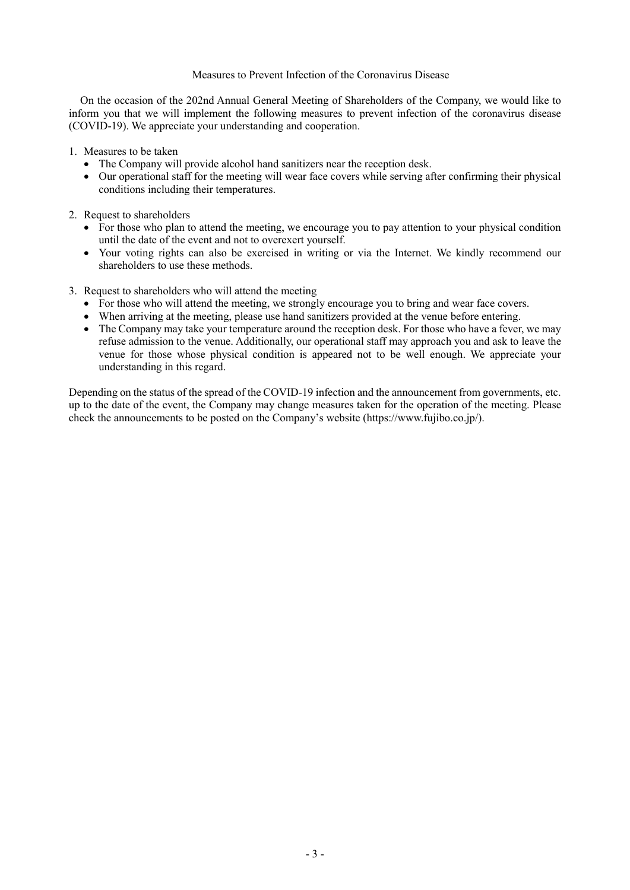#### Measures to Prevent Infection of the Coronavirus Disease

On the occasion of the 202nd Annual General Meeting of Shareholders of the Company, we would like to inform you that we will implement the following measures to prevent infection of the coronavirus disease (COVID-19). We appreciate your understanding and cooperation.

1. Measures to be taken

- The Company will provide alcohol hand sanitizers near the reception desk.
- Our operational staff for the meeting will wear face covers while serving after confirming their physical conditions including their temperatures.
- 2. Request to shareholders
	- For those who plan to attend the meeting, we encourage you to pay attention to your physical condition until the date of the event and not to overexert yourself.
	- Your voting rights can also be exercised in writing or via the Internet. We kindly recommend our shareholders to use these methods.
- 3. Request to shareholders who will attend the meeting
	- For those who will attend the meeting, we strongly encourage you to bring and wear face covers.
	- When arriving at the meeting, please use hand sanitizers provided at the venue before entering.
	- The Company may take your temperature around the reception desk. For those who have a fever, we may refuse admission to the venue. Additionally, our operational staff may approach you and ask to leave the venue for those whose physical condition is appeared not to be well enough. We appreciate your understanding in this regard.

Depending on the status of the spread of the COVID-19 infection and the announcement from governments, etc. up to the date of the event, the Company may change measures taken for the operation of the meeting. Please check the announcements to be posted on the Company's website (https://www.fujibo.co.jp/).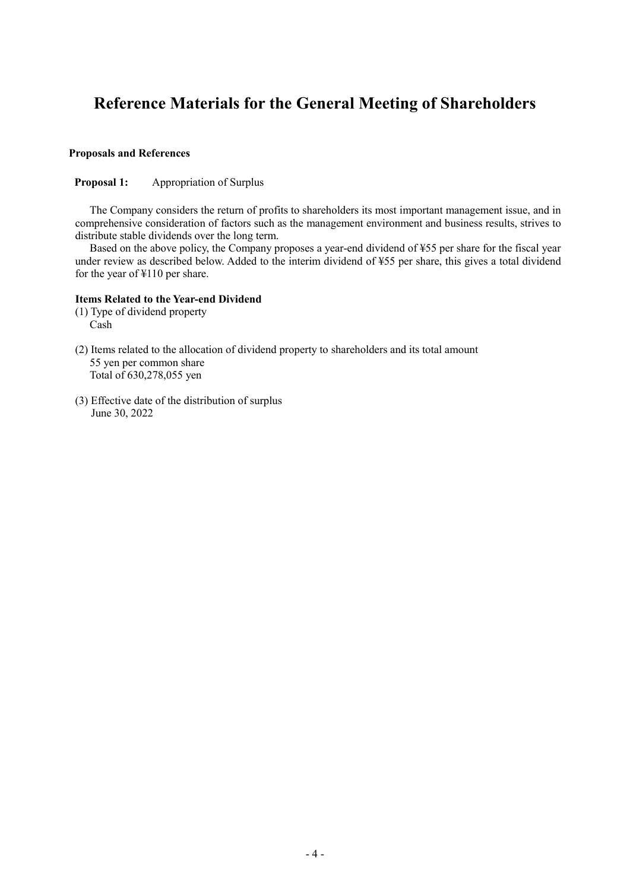# **Reference Materials for the General Meeting of Shareholders**

## **Proposals and References**

#### **Proposal 1:** Appropriation of Surplus

The Company considers the return of profits to shareholders its most important management issue, and in comprehensive consideration of factors such as the management environment and business results, strives to distribute stable dividends over the long term.

Based on the above policy, the Company proposes a year-end dividend of ¥55 per share for the fiscal year under review as described below. Added to the interim dividend of ¥55 per share, this gives a total dividend for the year of ¥110 per share.

#### **Items Related to the Year-end Dividend**

- (1) Type of dividend property Cash
- (2) Items related to the allocation of dividend property to shareholders and its total amount 55 yen per common share Total of 630,278,055 yen
- (3) Effective date of the distribution of surplus June 30, 2022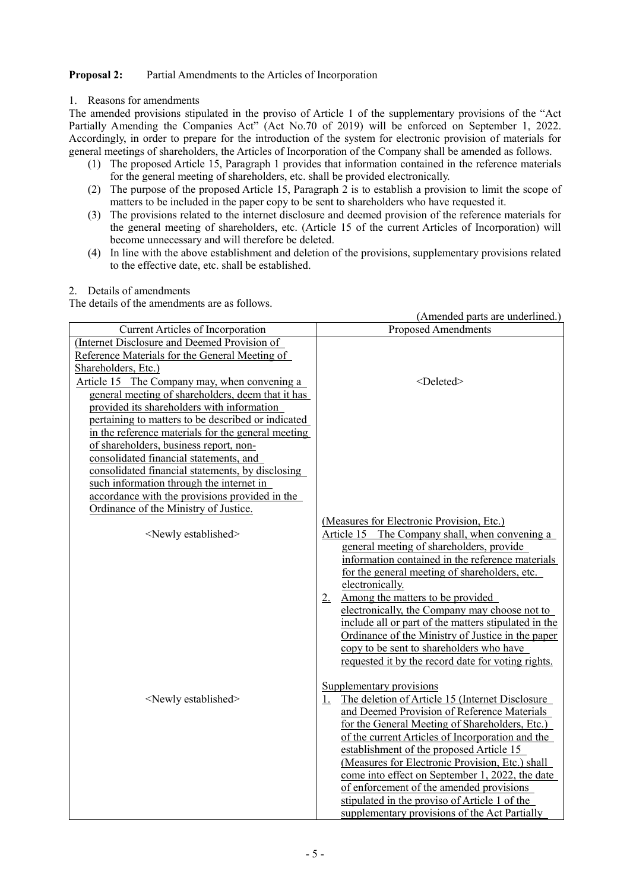# **Proposal 2:** Partial Amendments to the Articles of Incorporation

#### 1. Reasons for amendments

The amended provisions stipulated in the proviso of Article 1 of the supplementary provisions of the "Act Partially Amending the Companies Act" (Act No.70 of 2019) will be enforced on September 1, 2022. Accordingly, in order to prepare for the introduction of the system for electronic provision of materials for general meetings of shareholders, the Articles of Incorporation of the Company shall be amended as follows.

- (1) The proposed Article 15, Paragraph 1 provides that information contained in the reference materials for the general meeting of shareholders, etc. shall be provided electronically.
- (2) The purpose of the proposed Article 15, Paragraph 2 is to establish a provision to limit the scope of matters to be included in the paper copy to be sent to shareholders who have requested it.
- (3) The provisions related to the internet disclosure and deemed provision of the reference materials for the general meeting of shareholders, etc. (Article 15 of the current Articles of Incorporation) will become unnecessary and will therefore be deleted.
- (4) In line with the above establishment and deletion of the provisions, supplementary provisions related to the effective date, etc. shall be established.

#### 2. Details of amendments

The details of the amendments are as follows.

|                                                    | (Amended parts are underlined.)                                                                |
|----------------------------------------------------|------------------------------------------------------------------------------------------------|
| Current Articles of Incorporation                  | <b>Proposed Amendments</b>                                                                     |
| (Internet Disclosure and Deemed Provision of       |                                                                                                |
| Reference Materials for the General Meeting of     |                                                                                                |
| Shareholders, Etc.)                                |                                                                                                |
| Article 15 The Company may, when convening a       | <deleted></deleted>                                                                            |
| general meeting of shareholders, deem that it has  |                                                                                                |
| provided its shareholders with information         |                                                                                                |
| pertaining to matters to be described or indicated |                                                                                                |
| in the reference materials for the general meeting |                                                                                                |
| of shareholders, business report, non-             |                                                                                                |
| consolidated financial statements, and             |                                                                                                |
| consolidated financial statements, by disclosing   |                                                                                                |
| such information through the internet in           |                                                                                                |
| accordance with the provisions provided in the     |                                                                                                |
| Ordinance of the Ministry of Justice.              |                                                                                                |
| <newly established=""></newly>                     | (Measures for Electronic Provision, Etc.)<br>The Company shall, when convening a<br>Article 15 |
|                                                    | general meeting of shareholders, provide                                                       |
|                                                    | information contained in the reference materials                                               |
|                                                    | for the general meeting of shareholders, etc.                                                  |
|                                                    | electronically.                                                                                |
|                                                    | Among the matters to be provided<br>$2_{\cdot}$                                                |
|                                                    | electronically, the Company may choose not to                                                  |
|                                                    | include all or part of the matters stipulated in the                                           |
|                                                    | Ordinance of the Ministry of Justice in the paper                                              |
|                                                    | copy to be sent to shareholders who have                                                       |
|                                                    | requested it by the record date for voting rights.                                             |
|                                                    |                                                                                                |
|                                                    | Supplementary provisions                                                                       |
| <newly established=""></newly>                     | The deletion of Article 15 (Internet Disclosure<br>1.                                          |
|                                                    | and Deemed Provision of Reference Materials                                                    |
|                                                    | for the General Meeting of Shareholders, Etc.)                                                 |
|                                                    | of the current Articles of Incorporation and the                                               |
|                                                    | establishment of the proposed Article 15                                                       |
|                                                    | (Measures for Electronic Provision, Etc.) shall                                                |
|                                                    | come into effect on September 1, 2022, the date                                                |
|                                                    | of enforcement of the amended provisions                                                       |
|                                                    | stipulated in the proviso of Article 1 of the                                                  |
|                                                    | supplementary provisions of the Act Partially                                                  |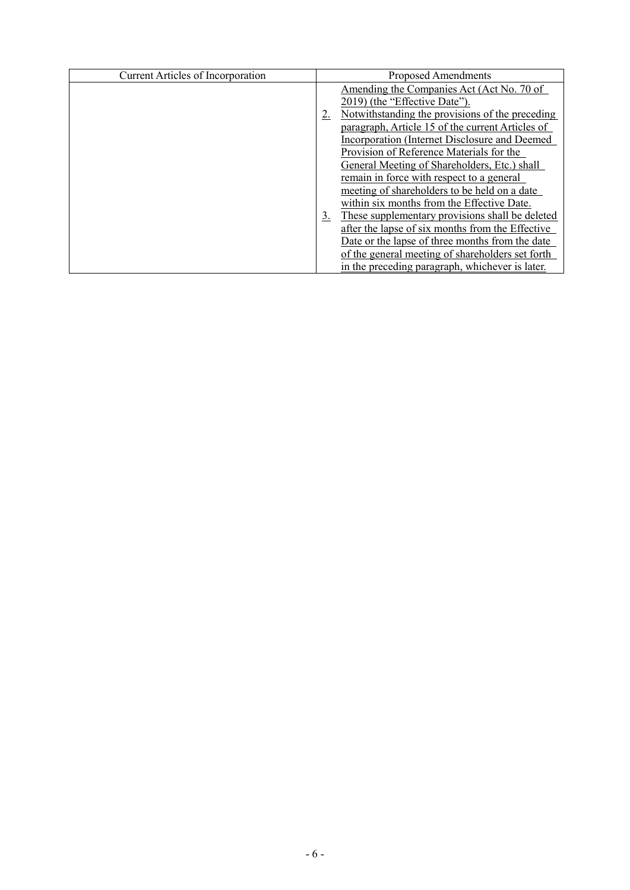| <b>Current Articles of Incorporation</b> |    | Proposed Amendments                              |
|------------------------------------------|----|--------------------------------------------------|
|                                          |    | Amending the Companies Act (Act No. 70 of        |
|                                          |    | 2019) (the "Effective Date").                    |
|                                          |    | Notwithstanding the provisions of the preceding  |
|                                          |    | paragraph, Article 15 of the current Articles of |
|                                          |    | Incorporation (Internet Disclosure and Deemed    |
|                                          |    | Provision of Reference Materials for the         |
|                                          |    | General Meeting of Shareholders, Etc.) shall     |
|                                          |    | remain in force with respect to a general        |
|                                          |    | meeting of shareholders to be held on a date     |
|                                          |    | within six months from the Effective Date.       |
|                                          | 3. | These supplementary provisions shall be deleted  |
|                                          |    | after the lapse of six months from the Effective |
|                                          |    | Date or the lapse of three months from the date  |
|                                          |    | of the general meeting of shareholders set forth |
|                                          |    | in the preceding paragraph, whichever is later.  |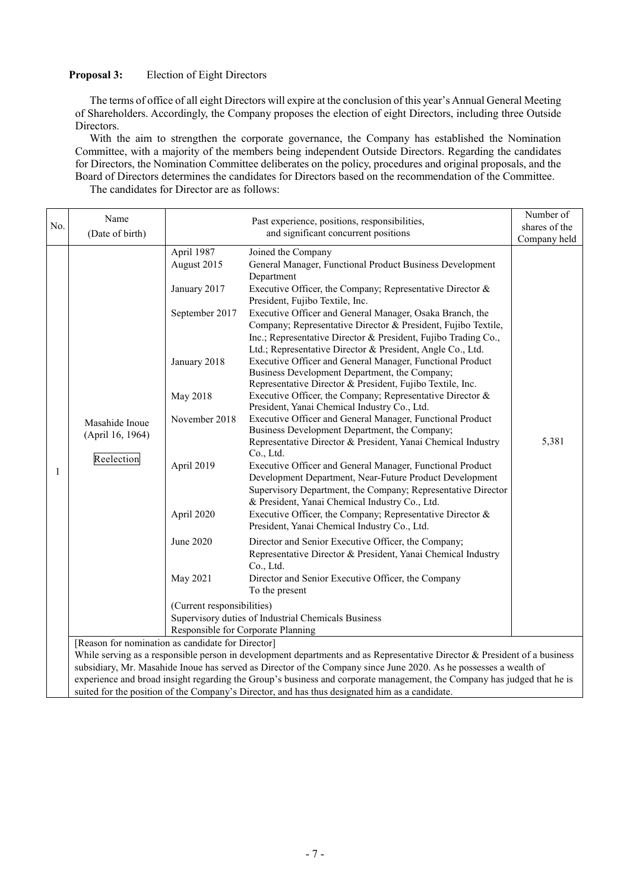# **Proposal 3:** Election of Eight Directors

The terms of office of all eight Directors will expire at the conclusion of this year's Annual General Meeting of Shareholders. Accordingly, the Company proposes the election of eight Directors, including three Outside Directors.

With the aim to strengthen the corporate governance, the Company has established the Nomination Committee, with a majority of the members being independent Outside Directors. Regarding the candidates for Directors, the Nomination Committee deliberates on the policy, procedures and original proposals, and the Board of Directors determines the candidates for Directors based on the recommendation of the Committee. The candidates for Director are as follows:

|     | Name                                                                                                                         |                                                                                                                        | Number of                                                                                                                                                                                                                                                                                                                                                                                                                                                                                                                                                                                                                                                                                                                                                                                                                                                                                                                                                                                                                                                                                                       |                       |  |  |
|-----|------------------------------------------------------------------------------------------------------------------------------|------------------------------------------------------------------------------------------------------------------------|-----------------------------------------------------------------------------------------------------------------------------------------------------------------------------------------------------------------------------------------------------------------------------------------------------------------------------------------------------------------------------------------------------------------------------------------------------------------------------------------------------------------------------------------------------------------------------------------------------------------------------------------------------------------------------------------------------------------------------------------------------------------------------------------------------------------------------------------------------------------------------------------------------------------------------------------------------------------------------------------------------------------------------------------------------------------------------------------------------------------|-----------------------|--|--|
| No. |                                                                                                                              |                                                                                                                        | shares of the                                                                                                                                                                                                                                                                                                                                                                                                                                                                                                                                                                                                                                                                                                                                                                                                                                                                                                                                                                                                                                                                                                   |                       |  |  |
|     |                                                                                                                              |                                                                                                                        |                                                                                                                                                                                                                                                                                                                                                                                                                                                                                                                                                                                                                                                                                                                                                                                                                                                                                                                                                                                                                                                                                                                 |                       |  |  |
| 1   | (Date of birth)<br>Masahide Inoue<br>(April 16, 1964)<br>Reelection                                                          | April 1987<br>August 2015<br>January 2017<br>September 2017<br>January 2018<br>May 2018<br>November 2018<br>April 2019 | and significant concurrent positions<br>Joined the Company<br>General Manager, Functional Product Business Development<br>Department<br>Executive Officer, the Company; Representative Director &<br>President, Fujibo Textile, Inc.<br>Executive Officer and General Manager, Osaka Branch, the<br>Company; Representative Director & President, Fujibo Textile,<br>Inc.; Representative Director & President, Fujibo Trading Co.,<br>Ltd.; Representative Director & President, Angle Co., Ltd.<br>Executive Officer and General Manager, Functional Product<br>Business Development Department, the Company;<br>Representative Director & President, Fujibo Textile, Inc.<br>Executive Officer, the Company; Representative Director $\&$<br>President, Yanai Chemical Industry Co., Ltd.<br>Executive Officer and General Manager, Functional Product<br>Business Development Department, the Company;<br>Representative Director & President, Yanai Chemical Industry<br>Co., Ltd.<br>Executive Officer and General Manager, Functional Product<br>Development Department, Near-Future Product Development | Company held<br>5,381 |  |  |
|     |                                                                                                                              | April 2020<br><b>June 2020</b><br>May 2021<br>(Current responsibilities)<br>Responsible for Corporate Planning         | Supervisory Department, the Company; Representative Director<br>& President, Yanai Chemical Industry Co., Ltd.<br>Executive Officer, the Company; Representative Director &<br>President, Yanai Chemical Industry Co., Ltd.<br>Director and Senior Executive Officer, the Company;<br>Representative Director & President, Yanai Chemical Industry<br>Co., Ltd.<br>Director and Senior Executive Officer, the Company<br>To the present<br>Supervisory duties of Industrial Chemicals Business                                                                                                                                                                                                                                                                                                                                                                                                                                                                                                                                                                                                                  |                       |  |  |
|     | [Reason for nomination as candidate for Director]                                                                            |                                                                                                                        |                                                                                                                                                                                                                                                                                                                                                                                                                                                                                                                                                                                                                                                                                                                                                                                                                                                                                                                                                                                                                                                                                                                 |                       |  |  |
|     | While serving as a responsible person in development departments and as Representative Director $\&$ President of a business |                                                                                                                        |                                                                                                                                                                                                                                                                                                                                                                                                                                                                                                                                                                                                                                                                                                                                                                                                                                                                                                                                                                                                                                                                                                                 |                       |  |  |
|     |                                                                                                                              |                                                                                                                        | subsidiary, Mr. Masahide Inoue has served as Director of the Company since June 2020. As he possesses a wealth of                                                                                                                                                                                                                                                                                                                                                                                                                                                                                                                                                                                                                                                                                                                                                                                                                                                                                                                                                                                               |                       |  |  |
|     |                                                                                                                              |                                                                                                                        | experience and broad insight regarding the Group's business and corporate management, the Company has judged that he is                                                                                                                                                                                                                                                                                                                                                                                                                                                                                                                                                                                                                                                                                                                                                                                                                                                                                                                                                                                         |                       |  |  |
|     | suited for the position of the Company's Director, and has thus designated him as a candidate.                               |                                                                                                                        |                                                                                                                                                                                                                                                                                                                                                                                                                                                                                                                                                                                                                                                                                                                                                                                                                                                                                                                                                                                                                                                                                                                 |                       |  |  |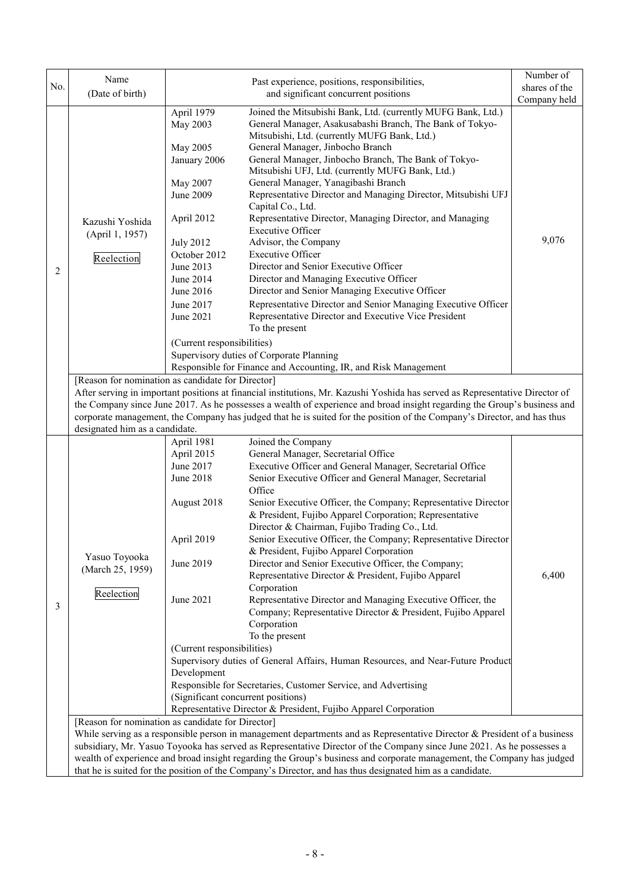|     | Name                                                                                                                                                                                                                                                                                                                                                                                                                                                                       |                                                                                                                                                                                                                              | Past experience, positions, responsibilities,                                                                                                                                                                                                                                                                                                                                                                                                                                                                                                                                                                                                                                                                                                                                                                                                                                                                                                                                           | Number of     |  |  |  |
|-----|----------------------------------------------------------------------------------------------------------------------------------------------------------------------------------------------------------------------------------------------------------------------------------------------------------------------------------------------------------------------------------------------------------------------------------------------------------------------------|------------------------------------------------------------------------------------------------------------------------------------------------------------------------------------------------------------------------------|-----------------------------------------------------------------------------------------------------------------------------------------------------------------------------------------------------------------------------------------------------------------------------------------------------------------------------------------------------------------------------------------------------------------------------------------------------------------------------------------------------------------------------------------------------------------------------------------------------------------------------------------------------------------------------------------------------------------------------------------------------------------------------------------------------------------------------------------------------------------------------------------------------------------------------------------------------------------------------------------|---------------|--|--|--|
| No. | (Date of birth)                                                                                                                                                                                                                                                                                                                                                                                                                                                            |                                                                                                                                                                                                                              | and significant concurrent positions                                                                                                                                                                                                                                                                                                                                                                                                                                                                                                                                                                                                                                                                                                                                                                                                                                                                                                                                                    | shares of the |  |  |  |
|     |                                                                                                                                                                                                                                                                                                                                                                                                                                                                            |                                                                                                                                                                                                                              |                                                                                                                                                                                                                                                                                                                                                                                                                                                                                                                                                                                                                                                                                                                                                                                                                                                                                                                                                                                         | Company held  |  |  |  |
| 2   | Kazushi Yoshida<br>(April 1, 1957)<br>Reelection                                                                                                                                                                                                                                                                                                                                                                                                                           | April 1979<br>May 2003<br>May 2005<br>January 2006<br>May 2007<br>June 2009<br>April 2012<br><b>July 2012</b><br>October 2012<br>June 2013<br>June 2014<br>June 2016<br>June 2017<br>June 2021<br>(Current responsibilities) | Joined the Mitsubishi Bank, Ltd. (currently MUFG Bank, Ltd.)<br>General Manager, Asakusabashi Branch, The Bank of Tokyo-<br>Mitsubishi, Ltd. (currently MUFG Bank, Ltd.)<br>General Manager, Jinbocho Branch<br>General Manager, Jinbocho Branch, The Bank of Tokyo-<br>Mitsubishi UFJ, Ltd. (currently MUFG Bank, Ltd.)<br>General Manager, Yanagibashi Branch<br>Representative Director and Managing Director, Mitsubishi UFJ<br>Capital Co., Ltd.<br>Representative Director, Managing Director, and Managing<br><b>Executive Officer</b><br>Advisor, the Company<br><b>Executive Officer</b><br>Director and Senior Executive Officer<br>Director and Managing Executive Officer<br>Director and Senior Managing Executive Officer<br>Representative Director and Senior Managing Executive Officer<br>Representative Director and Executive Vice President<br>To the present<br>Supervisory duties of Corporate Planning                                                          | 9,076         |  |  |  |
|     |                                                                                                                                                                                                                                                                                                                                                                                                                                                                            |                                                                                                                                                                                                                              | Responsible for Finance and Accounting, IR, and Risk Management                                                                                                                                                                                                                                                                                                                                                                                                                                                                                                                                                                                                                                                                                                                                                                                                                                                                                                                         |               |  |  |  |
|     | [Reason for nomination as candidate for Director]<br>After serving in important positions at financial institutions, Mr. Kazushi Yoshida has served as Representative Director of<br>the Company since June 2017. As he possesses a wealth of experience and broad insight regarding the Group's business and<br>corporate management, the Company has judged that he is suited for the position of the Company's Director, and has thus<br>designated him as a candidate. |                                                                                                                                                                                                                              |                                                                                                                                                                                                                                                                                                                                                                                                                                                                                                                                                                                                                                                                                                                                                                                                                                                                                                                                                                                         |               |  |  |  |
|     |                                                                                                                                                                                                                                                                                                                                                                                                                                                                            | April 1981                                                                                                                                                                                                                   | Joined the Company                                                                                                                                                                                                                                                                                                                                                                                                                                                                                                                                                                                                                                                                                                                                                                                                                                                                                                                                                                      |               |  |  |  |
| 3   | Yasuo Toyooka<br>(March 25, 1959)<br>Reelection                                                                                                                                                                                                                                                                                                                                                                                                                            | April 2015<br>June 2017<br>June 2018<br>August 2018<br>April 2019<br>June 2019<br>June 2021<br>(Current responsibilities)<br>Development<br>(Significant concurrent positions)                                               | General Manager, Secretarial Office<br>Executive Officer and General Manager, Secretarial Office<br>Senior Executive Officer and General Manager, Secretarial<br>Office<br>Senior Executive Officer, the Company; Representative Director<br>& President, Fujibo Apparel Corporation; Representative<br>Director & Chairman, Fujibo Trading Co., Ltd.<br>Senior Executive Officer, the Company; Representative Director<br>& President, Fujibo Apparel Corporation<br>Director and Senior Executive Officer, the Company;<br>Representative Director & President, Fujibo Apparel<br>Corporation<br>Representative Director and Managing Executive Officer, the<br>Company; Representative Director & President, Fujibo Apparel<br>Corporation<br>To the present<br>Supervisory duties of General Affairs, Human Resources, and Near-Future Product<br>Responsible for Secretaries, Customer Service, and Advertising<br>Representative Director & President, Fujibo Apparel Corporation | 6,400         |  |  |  |
|     | [Reason for nomination as candidate for Director]<br>While serving as a responsible person in management departments and as Representative Director $\&$ President of a business                                                                                                                                                                                                                                                                                           |                                                                                                                                                                                                                              |                                                                                                                                                                                                                                                                                                                                                                                                                                                                                                                                                                                                                                                                                                                                                                                                                                                                                                                                                                                         |               |  |  |  |
|     | subsidiary, Mr. Yasuo Toyooka has served as Representative Director of the Company since June 2021. As he possesses a                                                                                                                                                                                                                                                                                                                                                      |                                                                                                                                                                                                                              |                                                                                                                                                                                                                                                                                                                                                                                                                                                                                                                                                                                                                                                                                                                                                                                                                                                                                                                                                                                         |               |  |  |  |
|     | wealth of experience and broad insight regarding the Group's business and corporate management, the Company has judged                                                                                                                                                                                                                                                                                                                                                     |                                                                                                                                                                                                                              |                                                                                                                                                                                                                                                                                                                                                                                                                                                                                                                                                                                                                                                                                                                                                                                                                                                                                                                                                                                         |               |  |  |  |
|     |                                                                                                                                                                                                                                                                                                                                                                                                                                                                            |                                                                                                                                                                                                                              | that he is suited for the position of the Company's Director, and has thus designated him as a candidate.                                                                                                                                                                                                                                                                                                                                                                                                                                                                                                                                                                                                                                                                                                                                                                                                                                                                               |               |  |  |  |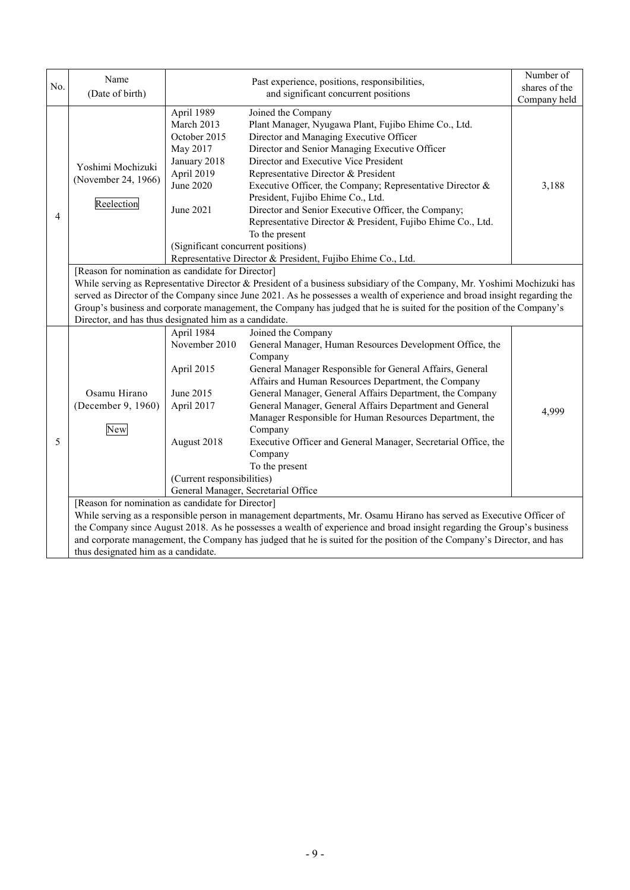|                | Name                                                                                                                                                                                                                                                                                                                                                                                                                               | Past experience, positions, responsibilities,                                                                                                                                                                                                                                                                                                                                                                                                                                                                                                                                                                                                                                                                                 |                                                                                                                                                                                | Number of |  |  |  |
|----------------|------------------------------------------------------------------------------------------------------------------------------------------------------------------------------------------------------------------------------------------------------------------------------------------------------------------------------------------------------------------------------------------------------------------------------------|-------------------------------------------------------------------------------------------------------------------------------------------------------------------------------------------------------------------------------------------------------------------------------------------------------------------------------------------------------------------------------------------------------------------------------------------------------------------------------------------------------------------------------------------------------------------------------------------------------------------------------------------------------------------------------------------------------------------------------|--------------------------------------------------------------------------------------------------------------------------------------------------------------------------------|-----------|--|--|--|
| No.            | (Date of birth)                                                                                                                                                                                                                                                                                                                                                                                                                    |                                                                                                                                                                                                                                                                                                                                                                                                                                                                                                                                                                                                                                                                                                                               | shares of the                                                                                                                                                                  |           |  |  |  |
|                |                                                                                                                                                                                                                                                                                                                                                                                                                                    |                                                                                                                                                                                                                                                                                                                                                                                                                                                                                                                                                                                                                                                                                                                               | Company held                                                                                                                                                                   |           |  |  |  |
| $\overline{4}$ | Yoshimi Mochizuki<br>(November 24, 1966)<br>Reelection                                                                                                                                                                                                                                                                                                                                                                             | April 1989<br>Joined the Company<br>March 2013<br>Plant Manager, Nyugawa Plant, Fujibo Ehime Co., Ltd.<br>Director and Managing Executive Officer<br>October 2015<br>May 2017<br>Director and Senior Managing Executive Officer<br>January 2018<br>Director and Executive Vice President<br>April 2019<br>Representative Director & President<br><b>June 2020</b><br>Executive Officer, the Company; Representative Director &<br>President, Fujibo Ehime Co., Ltd.<br>June 2021<br>Director and Senior Executive Officer, the Company;<br>Representative Director & President, Fujibo Ehime Co., Ltd.<br>To the present<br>(Significant concurrent positions)<br>Representative Director & President, Fujibo Ehime Co., Ltd. |                                                                                                                                                                                |           |  |  |  |
|                |                                                                                                                                                                                                                                                                                                                                                                                                                                    |                                                                                                                                                                                                                                                                                                                                                                                                                                                                                                                                                                                                                                                                                                                               |                                                                                                                                                                                |           |  |  |  |
|                | [Reason for nomination as candidate for Director]<br>While serving as Representative Director & President of a business subsidiary of the Company, Mr. Yoshimi Mochizuki has<br>served as Director of the Company since June 2021. As he possesses a wealth of experience and broad insight regarding the<br>Group's business and corporate management, the Company has judged that he is suited for the position of the Company's |                                                                                                                                                                                                                                                                                                                                                                                                                                                                                                                                                                                                                                                                                                                               |                                                                                                                                                                                |           |  |  |  |
|                | Director, and has thus designated him as a candidate.                                                                                                                                                                                                                                                                                                                                                                              |                                                                                                                                                                                                                                                                                                                                                                                                                                                                                                                                                                                                                                                                                                                               |                                                                                                                                                                                |           |  |  |  |
|                |                                                                                                                                                                                                                                                                                                                                                                                                                                    | April 1984<br>November 2010                                                                                                                                                                                                                                                                                                                                                                                                                                                                                                                                                                                                                                                                                                   | Joined the Company<br>General Manager, Human Resources Development Office, the                                                                                                 |           |  |  |  |
|                | Osamu Hirano<br>(December 9, 1960)<br>New                                                                                                                                                                                                                                                                                                                                                                                          | April 2015                                                                                                                                                                                                                                                                                                                                                                                                                                                                                                                                                                                                                                                                                                                    | Company<br>General Manager Responsible for General Affairs, General                                                                                                            |           |  |  |  |
|                |                                                                                                                                                                                                                                                                                                                                                                                                                                    |                                                                                                                                                                                                                                                                                                                                                                                                                                                                                                                                                                                                                                                                                                                               | Affairs and Human Resources Department, the Company                                                                                                                            |           |  |  |  |
|                |                                                                                                                                                                                                                                                                                                                                                                                                                                    | June 2015<br>April 2017                                                                                                                                                                                                                                                                                                                                                                                                                                                                                                                                                                                                                                                                                                       | General Manager, General Affairs Department, the Company<br>General Manager, General Affairs Department and General<br>Manager Responsible for Human Resources Department, the | 4,999     |  |  |  |
| 5              |                                                                                                                                                                                                                                                                                                                                                                                                                                    | August 2018                                                                                                                                                                                                                                                                                                                                                                                                                                                                                                                                                                                                                                                                                                                   | Company<br>Executive Officer and General Manager, Secretarial Office, the<br>Company<br>To the present                                                                         |           |  |  |  |
|                |                                                                                                                                                                                                                                                                                                                                                                                                                                    |                                                                                                                                                                                                                                                                                                                                                                                                                                                                                                                                                                                                                                                                                                                               |                                                                                                                                                                                |           |  |  |  |
|                |                                                                                                                                                                                                                                                                                                                                                                                                                                    | (Current responsibilities)<br>General Manager, Secretarial Office                                                                                                                                                                                                                                                                                                                                                                                                                                                                                                                                                                                                                                                             |                                                                                                                                                                                |           |  |  |  |
|                | [Reason for nomination as candidate for Director]                                                                                                                                                                                                                                                                                                                                                                                  |                                                                                                                                                                                                                                                                                                                                                                                                                                                                                                                                                                                                                                                                                                                               |                                                                                                                                                                                |           |  |  |  |
|                | While serving as a responsible person in management departments, Mr. Osamu Hirano has served as Executive Officer of                                                                                                                                                                                                                                                                                                               |                                                                                                                                                                                                                                                                                                                                                                                                                                                                                                                                                                                                                                                                                                                               |                                                                                                                                                                                |           |  |  |  |
|                | the Company since August 2018. As he possesses a wealth of experience and broad insight regarding the Group's business                                                                                                                                                                                                                                                                                                             |                                                                                                                                                                                                                                                                                                                                                                                                                                                                                                                                                                                                                                                                                                                               |                                                                                                                                                                                |           |  |  |  |
|                | and corporate management, the Company has judged that he is suited for the position of the Company's Director, and has                                                                                                                                                                                                                                                                                                             |                                                                                                                                                                                                                                                                                                                                                                                                                                                                                                                                                                                                                                                                                                                               |                                                                                                                                                                                |           |  |  |  |
|                | thus designated him as a candidate.                                                                                                                                                                                                                                                                                                                                                                                                |                                                                                                                                                                                                                                                                                                                                                                                                                                                                                                                                                                                                                                                                                                                               |                                                                                                                                                                                |           |  |  |  |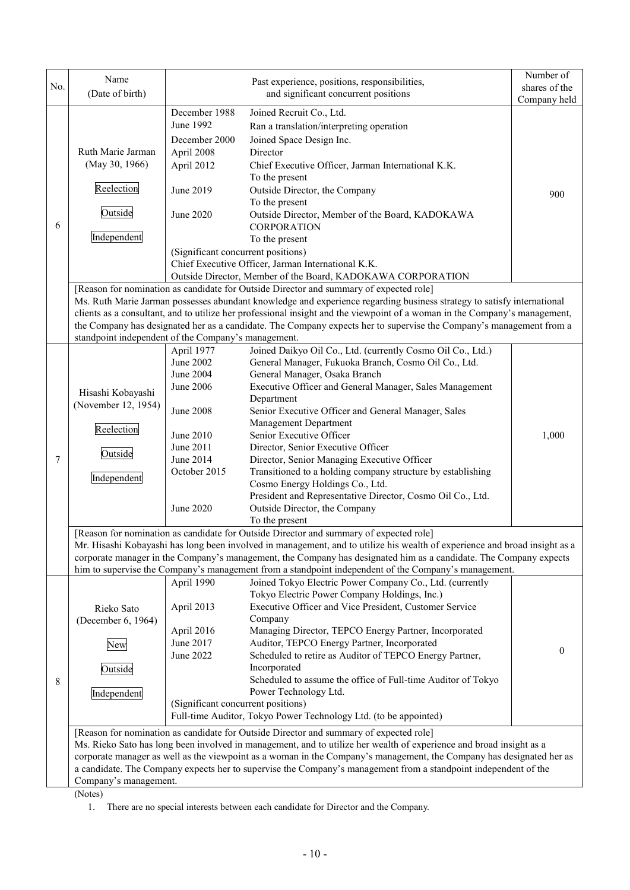| No. | Name<br>(Date of birth)                                                                                                                                                                                                                                                                                                                                                                                                                                                                                                      |                                                                                                                                           | Past experience, positions, responsibilities,<br>and significant concurrent positions                                                                                                                                                                                                                                                                                                                                                                                                                                                                                                                                                                                                                                                                                                                                                                                  | Number of<br>shares of the<br>Company held |  |  |  |
|-----|------------------------------------------------------------------------------------------------------------------------------------------------------------------------------------------------------------------------------------------------------------------------------------------------------------------------------------------------------------------------------------------------------------------------------------------------------------------------------------------------------------------------------|-------------------------------------------------------------------------------------------------------------------------------------------|------------------------------------------------------------------------------------------------------------------------------------------------------------------------------------------------------------------------------------------------------------------------------------------------------------------------------------------------------------------------------------------------------------------------------------------------------------------------------------------------------------------------------------------------------------------------------------------------------------------------------------------------------------------------------------------------------------------------------------------------------------------------------------------------------------------------------------------------------------------------|--------------------------------------------|--|--|--|
| 6   | Ruth Marie Jarman<br>(May 30, 1966)<br>Reelection<br>Outside<br>Independent                                                                                                                                                                                                                                                                                                                                                                                                                                                  | December 1988<br>June 1992<br>December 2000<br>April 2008<br>April 2012<br>June 2019<br>June 2020<br>(Significant concurrent positions)   | Joined Recruit Co., Ltd.<br>Ran a translation/interpreting operation<br>Joined Space Design Inc.<br>Director<br>Chief Executive Officer, Jarman International K.K.<br>To the present<br>Outside Director, the Company<br>To the present<br>Outside Director, Member of the Board, KADOKAWA<br><b>CORPORATION</b><br>To the present<br>Chief Executive Officer, Jarman International K.K.<br>Outside Director, Member of the Board, KADOKAWA CORPORATION                                                                                                                                                                                                                                                                                                                                                                                                                | 900                                        |  |  |  |
|     | [Reason for nomination as candidate for Outside Director and summary of expected role]<br>Ms. Ruth Marie Jarman possesses abundant knowledge and experience regarding business strategy to satisfy international<br>clients as a consultant, and to utilize her professional insight and the viewpoint of a woman in the Company's management,<br>the Company has designated her as a candidate. The Company expects her to supervise the Company's management from a<br>standpoint independent of the Company's management. |                                                                                                                                           |                                                                                                                                                                                                                                                                                                                                                                                                                                                                                                                                                                                                                                                                                                                                                                                                                                                                        |                                            |  |  |  |
| 7   | Hisashi Kobayashi<br>(November 12, 1954)<br>Reelection<br>Outside<br>Independent                                                                                                                                                                                                                                                                                                                                                                                                                                             | April 1977<br>June 2002<br>June 2004<br>June 2006<br><b>June 2008</b><br>June 2010<br>June 2011<br>June 2014<br>October 2015<br>June 2020 | Joined Daikyo Oil Co., Ltd. (currently Cosmo Oil Co., Ltd.)<br>General Manager, Fukuoka Branch, Cosmo Oil Co., Ltd.<br>General Manager, Osaka Branch<br>Executive Officer and General Manager, Sales Management<br>Department<br>Senior Executive Officer and General Manager, Sales<br>Management Department<br>Senior Executive Officer<br>Director, Senior Executive Officer<br>Director, Senior Managing Executive Officer<br>Transitioned to a holding company structure by establishing<br>Cosmo Energy Holdings Co., Ltd.<br>President and Representative Director, Cosmo Oil Co., Ltd.<br>Outside Director, the Company<br>To the present                                                                                                                                                                                                                      | 1,000                                      |  |  |  |
|     | [Reason for nomination as candidate for Outside Director and summary of expected role]<br>Mr. Hisashi Kobayashi has long been involved in management, and to utilize his wealth of experience and broad insight as a<br>corporate manager in the Company's management, the Company has designated him as a candidate. The Company expects<br>him to supervise the Company's management from a standpoint independent of the Company's management.                                                                            |                                                                                                                                           |                                                                                                                                                                                                                                                                                                                                                                                                                                                                                                                                                                                                                                                                                                                                                                                                                                                                        |                                            |  |  |  |
| 8   | Rieko Sato<br>(December 6, 1964)<br>New<br>Outside<br>Independent                                                                                                                                                                                                                                                                                                                                                                                                                                                            | April 1990<br>April 2013<br>April 2016<br>June 2017<br>June 2022<br>(Significant concurrent positions)                                    | Joined Tokyo Electric Power Company Co., Ltd. (currently<br>Tokyo Electric Power Company Holdings, Inc.)<br>Executive Officer and Vice President, Customer Service<br>Company<br>Managing Director, TEPCO Energy Partner, Incorporated<br>Auditor, TEPCO Energy Partner, Incorporated<br>Scheduled to retire as Auditor of TEPCO Energy Partner,<br>Incorporated<br>Scheduled to assume the office of Full-time Auditor of Tokyo<br>Power Technology Ltd.<br>Full-time Auditor, Tokyo Power Technology Ltd. (to be appointed)<br>[Reason for nomination as candidate for Outside Director and summary of expected role]<br>Ms. Rieko Sato has long been involved in management, and to utilize her wealth of experience and broad insight as a<br>corporate manager as well as the viewpoint as a woman in the Company's management, the Company has designated her as | $\theta$                                   |  |  |  |
|     | Company's management.<br>(Noter)                                                                                                                                                                                                                                                                                                                                                                                                                                                                                             |                                                                                                                                           | a candidate. The Company expects her to supervise the Company's management from a standpoint independent of the                                                                                                                                                                                                                                                                                                                                                                                                                                                                                                                                                                                                                                                                                                                                                        |                                            |  |  |  |

(Notes)

1. There are no special interests between each candidate for Director and the Company.